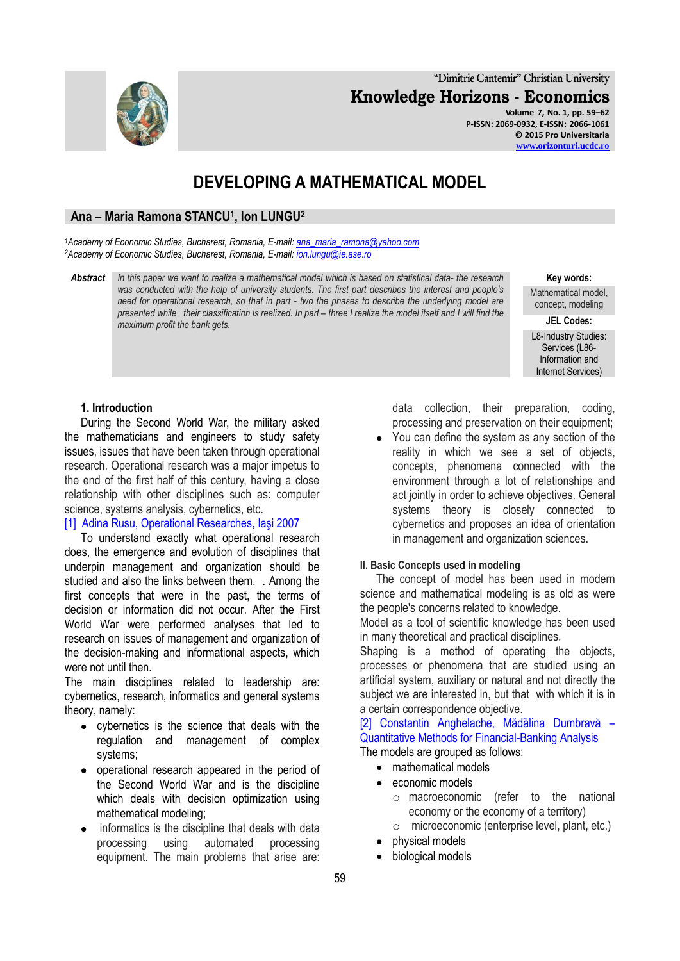**"Dimitrie Cantemir" Christian University Knowledge Horizons - Economics**

> **Volume 7, No. 1, pp. 59–62 P-ISSN: 2069-0932, E-ISSN: 2066-1061 © 2015 Pro Universitaria [www.orizonturi.ucdc.ro](http://www.orizonturi.ucdc.ro/)**

# **DEVELOPING A MATHEMATICAL MODEL**

## **Ana – Maria Ramona STANCU<sup>1</sup> , Ion LUNGU<sup>2</sup>**

*<sup>1</sup>Academy of Economic Studies, Bucharest, Romania, E-mail: [ana\\_maria\\_ramona@yahoo.com](mailto:ana_maria_ramona@yahoo.com) <sup>2</sup>Academy of Economic Studies, Bucharest, Romania, E-mail[: ion.lungu@ie.ase.ro](mailto:ion.lungu@ie.ase.ro)*

*Abstract In this paper we want to realize a mathematical model which is based on statistical data- the research was conducted with the help of university students. The first part describes the interest and people's need for operational research, so that in part - two the phases to describe the underlying model are presented while their classification is realized. In part – three I realize the model itself and I will find the maximum profit the bank gets.*

#### **Key words:**

Mathematical model, concept, modeling

**JEL Codes:**

L8-Industry Studies: Services (L86- Information and Internet Services)

## **1. Introduction**

During the Second World War, the military asked the mathematicians and engineers to study safety issues, issues that have been taken through operational research. Operational research was a major impetus to the end of the first half of this century, having a close relationship with other disciplines such as: computer science, systems analysis, cybernetics, etc.

## [1] Adina Rusu, Operational Researches, Iaşi 2007

To understand exactly what operational research does, the emergence and evolution of disciplines that underpin management and organization should be studied and also the links between them. . Among the first concepts that were in the past, the terms of decision or information did not occur. After the First World War were performed analyses that led to research on issues of management and organization of the decision-making and informational aspects, which were not until then.

The main disciplines related to leadership are: cybernetics, research, informatics and general systems theory, namely:

- cybernetics is the science that deals with the regulation and management of complex systems;
- operational research appeared in the period of the Second World War and is the discipline which deals with decision optimization using mathematical modeling;
- informatics is the discipline that deals with data processing using automated processing equipment. The main problems that arise are:

data collection, their preparation, coding, processing and preservation on their equipment;

You can define the system as any section of the reality in which we see a set of objects, concepts, phenomena connected with the environment through a lot of relationships and act jointly in order to achieve objectives. General systems theory is closely connected to cybernetics and proposes an idea of orientation in management and organization sciences.

### **II. Basic Concepts used in modeling**

The concept of model has been used in modern science and mathematical modeling is as old as were the people's concerns related to knowledge.

Model as a tool of scientific knowledge has been used in many theoretical and practical disciplines.

Shaping is a method of operating the objects, processes or phenomena that are studied using an artificial system, auxiliary or natural and not directly the subject we are interested in, but that with which it is in a certain correspondence objective.

[2] Constantin Anghelache, Mădălina Dumbravă – Quantitative Methods for Financial-Banking Analysis The models are grouped as follows:

- mathematical models
- economic models
	- o macroeconomic (refer to the national economy or the economy of a territory)
	- o microeconomic (enterprise level, plant, etc.)
- physical models
- biological models

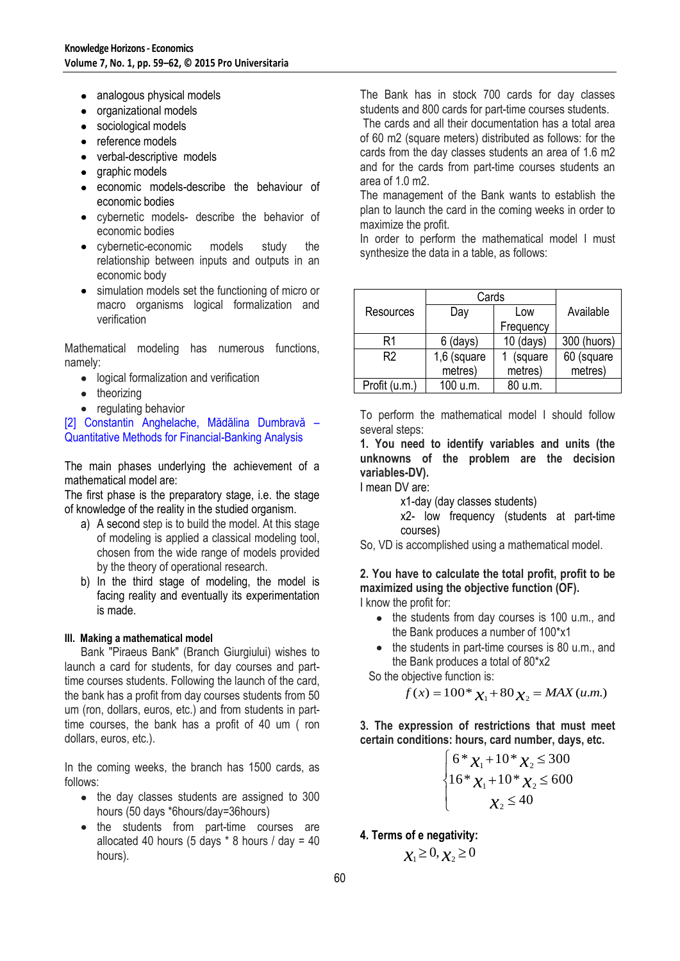- analogous physical models
- organizational models
- sociological models
- reference models
- verbal-descriptive models
- graphic models
- economic models-describe the behaviour of economic bodies
- cybernetic models- describe the behavior of economic bodies
- cybernetic-economic models study the relationship between inputs and outputs in an economic body
- simulation models set the functioning of micro or macro organisms logical formalization and verification

Mathematical modeling has numerous functions, namely:

- logical formalization and verification
- theorizing
- regulating behavior

[2] Constantin Anghelache, Mădălina Dumbravă – Quantitative Methods for Financial-Banking Analysis

The main phases underlying the achievement of a mathematical model are:

The first phase is the preparatory stage, i.e. the stage of knowledge of the reality in the studied organism.

- a) A second step is to build the model. At this stage of modeling is applied a classical modeling tool, chosen from the wide range of models provided by the theory of operational research.
- b) In the third stage of modeling, the model is facing reality and eventually its experimentation is made.

## **III. Making a mathematical model**

Bank "Piraeus Bank" (Branch Giurgiului) wishes to launch a card for students, for day courses and parttime courses students. Following the launch of the card, the bank has a profit from day courses students from 50 um (ron, dollars, euros, etc.) and from students in parttime courses, the bank has a profit of 40 um ( ron dollars, euros, etc.).

In the coming weeks, the branch has 1500 cards, as follows:

- the day classes students are assigned to 300 hours (50 days \*6hours/day=36hours)
- the students from part-time courses are allocated 40 hours (5 days  $*$  8 hours / day = 40 hours).

The Bank has in stock 700 cards for day classes students and 800 cards for part-time courses students.

The cards and all their documentation has a total area of 60 m2 (square meters) distributed as follows: for the cards from the day classes students an area of 1.6 m2 and for the cards from part-time courses students an area of 1.0 m2.

The management of the Bank wants to establish the plan to launch the card in the coming weeks in order to maximize the profit.

In order to perform the mathematical model I must synthesize the data in a table, as follows:

|                | Cards       |             |             |
|----------------|-------------|-------------|-------------|
| Resources      | Day         | Low         | Available   |
|                |             | Frequency   |             |
| R1             | $6$ (days)  | $10$ (days) | 300 (huors) |
| R <sub>2</sub> | 1,6 (square | (square     | 60 (square  |
|                | metres)     | metres)     | metres)     |
| Profit (u.m.)  | 100 u.m.    | 80 u.m.     |             |

To perform the mathematical model I should follow several steps:

**1. You need to identify variables and units (the unknowns of the problem are the decision variables-DV).**

I mean DV are:

x1-day (day classes students)

x2- low frequency (students at part-time courses)

So, VD is accomplished using a mathematical model.

**2. You have to calculate the total profit, profit to be maximized using the objective function (OF).** I know the profit for:

- the students from day courses is 100 u.m., and the Bank produces a number of 100\*x1
- the students in part-time courses is 80 u.m., and the Bank produces a total of 80\*x2

So the objective function is:

$$
f(x) = 100 * x_1 + 80 x_2 = MAX(u.m.)
$$

**3. The expression of restrictions that must meet certain conditions: hours, card number, days, etc.**

$$
6 * x_1 + 10 * x_2 \le 300
$$
  

$$
16 * x_1 + 10 * x_2 \le 600
$$
  

$$
x_2 \le 40
$$

**4. Terms of e negativity:**

$$
\chi_1 \geq 0, \chi_2 \geq 0
$$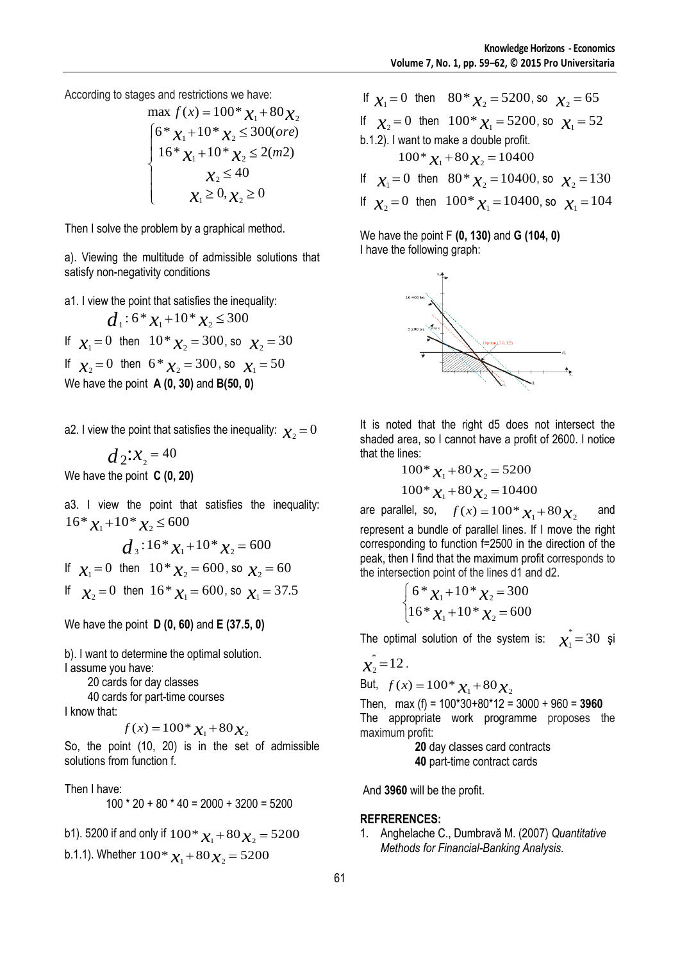According to stages and restrictions we have:

max 
$$
f(x) = 100^* \chi_1 + 80 \chi_2
$$
  
\n
$$
\begin{cases}\n6^* \chi_1 + 10^* \chi_2 \le 300(\text{ore}) \\
16^* \chi_1 + 10^* \chi_2 \le 2(m2) \\
\chi_2 \le 40 \\
\chi_1 \ge 0, \chi_2 \ge 0\n\end{cases}
$$

Then I solve the problem by a graphical method.

a). Viewing the multitude of admissible solutions that satisfy non-negativity conditions

a1. I view the point that satisfies the inequality:

 $d_1$ :  $6 * x_1 + 10 * x_2 \le 300$ If  $x_1 = 0$  then  $10 \times x_2 = 300$ , so  $x_2 = 30$ If  $x_2 = 0$  then  $6 * x_2 = 300$ , so  $x_1 = 50$ We have the point **A (0, 30)** and **B(50, 0)**

a2. I view the point that satisfies the inequality:  $\bm{\chi}_2\!=\!0$ 

 $d_2$ : $x_2 = 40$ We have the point **C (0, 20)**

a3. I view the point that satisfies the inequality:  $16 \times \chi_1 + 10 \times \chi_2 \leq 600$ 

$$
d_3: 16 * x_1 + 10 * x_2 = 600
$$

If  $x_1 = 0$  then  $10 \times x_2 = 600$ , so  $x_2 = 60$ 

If  $\chi_2 = 0$  then  $16 * \chi_1 = 600$ , so  $\chi_1 = 37.5$ 

We have the point **D (0, 60)** and **E (37.5, 0)**

b). I want to determine the optimal solution. I assume you have:

 20 cards for day classes 40 cards for part-time courses

I know that:

$$
f(x) = 100^* \chi_1 + 80 \chi_2
$$

So, the point (10, 20) is in the set of admissible solutions from function f.

Then I have:  $100 * 20 + 80 * 40 = 2000 + 3200 = 5200$ 

b1). 5200 if and only if  $100 * \chi_1 + 80 \chi_2 = 5200$ b.1.1). Whether  $100^* \chi_1 + 80 \chi_2 = 5200$ 

If  $x_1 = 0$  then  $80 * x_2 = 5200$ , so  $x_2 = 65$ If  $\chi_2 = 0$  then  $100^* \chi_1 = 5200$ , so  $\chi_1 = 52$ b.1.2). I want to make a double profit.  $100^* \chi_1 + 80 \chi_2 = 10400$ If  $\chi_1 = 0$  then  $80 * \chi_2 = 10400$ , so  $\chi_2 = 130$ 

If  $x_2 = 0$  then  $100^* x_1 = 10400$ , so  $x_1 = 104$ 

We have the point F **(0, 130)** and **G (104, 0)** I have the following graph:



It is noted that the right d5 does not intersect the shaded area, so I cannot have a profit of 2600. I notice that the lines:

$$
100 * \chi_1 + 80 \chi_2 = 5200
$$
  

$$
100 * \chi_1 + 80 \chi_2 = 10400
$$

are parallel, so,  $f(x) = 100 * x_1 + 80x_2$  and represent a bundle of parallel lines. If I move the right corresponding to function f=2500 in the direction of the peak, then I find that the maximum profit corresponds to the intersection point of the lines d1 and d2.

$$
\begin{cases} 6 * x_1 + 10 * x_2 = 300 \\ 16 * x_1 + 10 * x_2 = 600 \end{cases}
$$

The optimal solution of the system is:  $\chi_1^* = 30$  si

$$
x_2^* = 12
$$

.

But,  $f(x) = 100^* x_1 + 80 x_2$ 

Then, max (f) = 100\*30+80\*12 = 3000 + 960 = **3960** The appropriate work programme proposes the maximum profit:

 **20** day classes card contracts  **40** part-time contract cards

And **3960** will be the profit.

## **REFRERENCES:**

1. Anghelache C., Dumbravă M. (2007) *Quantitative Methods for Financial-Banking Analysis.*